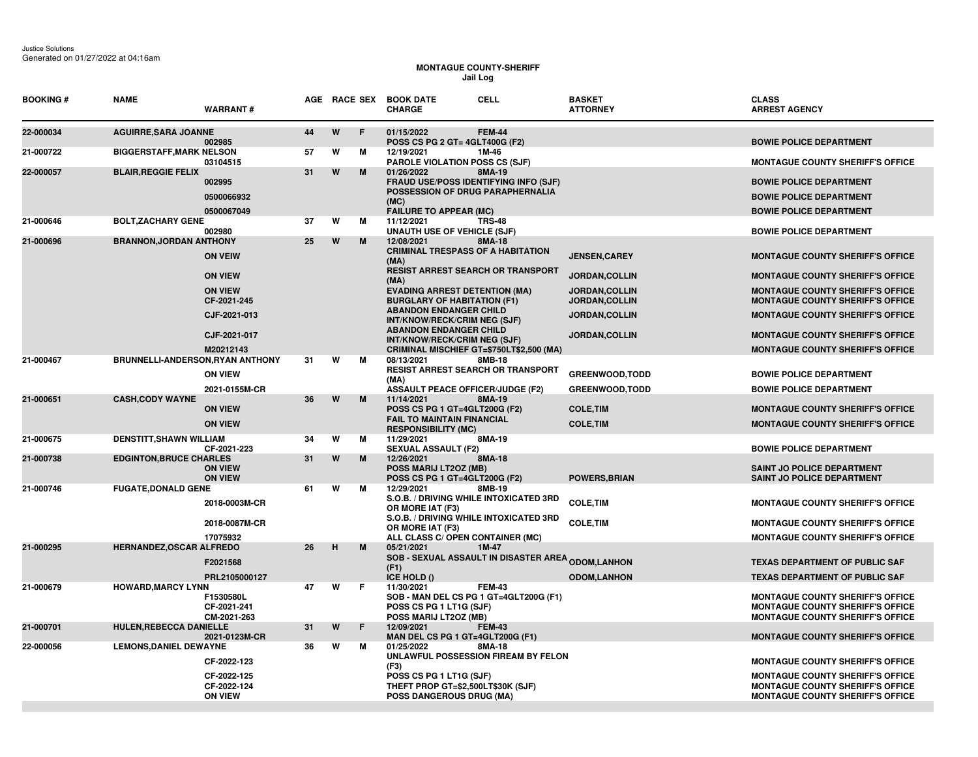## **MONTAGUE COUNTY-SHERIFF Jail Log**

| <b>BOOKING #</b> | <b>NAME</b>                      | <b>WARRANT#</b>                              |    |   |    | AGE RACE SEX BOOK DATE<br><b>CHARGE</b>                                                                            | <b>CELL</b>   | <b>BASKET</b><br><b>ATTORNEY</b>             | <b>CLASS</b><br><b>ARREST AGENCY</b>                                                                                          |
|------------------|----------------------------------|----------------------------------------------|----|---|----|--------------------------------------------------------------------------------------------------------------------|---------------|----------------------------------------------|-------------------------------------------------------------------------------------------------------------------------------|
| 22-000034        | <b>AGUIRRE, SARA JOANNE</b>      | 002985                                       | 44 | W | F. | 01/15/2022<br>POSS CS PG 2 GT= 4GLT400G (F2)                                                                       | <b>FEM-44</b> |                                              | <b>BOWIE POLICE DEPARTMENT</b>                                                                                                |
| 21-000722        | <b>BIGGERSTAFF, MARK NELSON</b>  | 03104515                                     | 57 | W | м  | 12/19/2021<br><b>PAROLE VIOLATION POSS CS (SJF)</b>                                                                | 1M-46         |                                              | <b>MONTAGUE COUNTY SHERIFF'S OFFICE</b>                                                                                       |
| 22-000057        | <b>BLAIR, REGGIE FELIX</b>       | 002995<br>0500066932                         | 31 | W | M  | 01/26/2022<br>FRAUD USE/POSS IDENTIFYING INFO (SJF)<br>POSSESSION OF DRUG PARAPHERNALIA<br>(MC)                    | 8MA-19        |                                              | <b>BOWIE POLICE DEPARTMENT</b><br><b>BOWIE POLICE DEPARTMENT</b>                                                              |
| 21-000646        | <b>BOLT, ZACHARY GENE</b>        | 0500067049<br>002980                         | 37 | W | м  | <b>FAILURE TO APPEAR (MC)</b><br>11/12/2021<br><b>UNAUTH USE OF VEHICLE (SJF)</b>                                  | <b>TRS-48</b> |                                              | <b>BOWIE POLICE DEPARTMENT</b><br><b>BOWIE POLICE DEPARTMENT</b>                                                              |
| 21-000696        | <b>BRANNON, JORDAN ANTHONY</b>   | <b>ON VEIW</b>                               | 25 | W | M  | 12/08/2021<br><b>CRIMINAL TRESPASS OF A HABITATION</b>                                                             | 8MA-18        | <b>JENSEN.CAREY</b>                          | <b>MONTAGUE COUNTY SHERIFF'S OFFICE</b>                                                                                       |
|                  |                                  | <b>ON VIEW</b>                               |    |   |    | (MA)<br><b>RESIST ARREST SEARCH OR TRANSPORT</b><br>(MA)                                                           |               | <b>JORDAN, COLLIN</b>                        | <b>MONTAGUE COUNTY SHERIFF'S OFFICE</b>                                                                                       |
|                  |                                  | <b>ON VIEW</b><br>CF-2021-245                |    |   |    | <b>EVADING ARREST DETENTION (MA)</b><br><b>BURGLARY OF HABITATION (F1)</b>                                         |               | <b>JORDAN,COLLIN</b><br><b>JORDAN,COLLIN</b> | <b>MONTAGUE COUNTY SHERIFF'S OFFICE</b><br><b>MONTAGUE COUNTY SHERIFF'S OFFICE</b>                                            |
|                  |                                  | CJF-2021-013                                 |    |   |    | <b>ABANDON ENDANGER CHILD</b><br>INT/KNOW/RECK/CRIM NEG (SJF)<br><b>ABANDON ENDANGER CHILD</b>                     |               | JORDAN, COLLIN                               | <b>MONTAGUE COUNTY SHERIFF'S OFFICE</b>                                                                                       |
|                  |                                  | CJF-2021-017<br>M20212143                    |    |   |    | INT/KNOW/RECK/CRIM NEG (SJF)<br>CRIMINAL MISCHIEF GT=\$750LT\$2,500 (MA)                                           |               | <b>JORDAN,COLLIN</b>                         | <b>MONTAGUE COUNTY SHERIFF'S OFFICE</b><br><b>MONTAGUE COUNTY SHERIFF'S OFFICE</b>                                            |
| 21-000467        | BRUNNELLI-ANDERSON, RYAN ANTHONY | <b>ON VIEW</b>                               | 31 | W | М  | 08/13/2021<br>RESIST ARREST SEARCH OR TRANSPORT<br>(MA)                                                            | 8MB-18        | <b>GREENWOOD, TODD</b>                       | <b>BOWIE POLICE DEPARTMENT</b>                                                                                                |
| 21-000651        | <b>CASH, CODY WAYNE</b>          | 2021-0155M-CR                                | 36 | W | M  | <b>ASSAULT PEACE OFFICER/JUDGE (F2)</b><br>11/14/2021                                                              | 8MA-19        | <b>GREENWOOD, TODD</b>                       | <b>BOWIE POLICE DEPARTMENT</b>                                                                                                |
|                  |                                  | <b>ON VIEW</b><br><b>ON VIEW</b>             |    |   |    | <b>POSS CS PG 1 GT=4GLT200G (F2)</b><br><b>FAIL TO MAINTAIN FINANCIAL</b><br><b>RESPONSIBILITY (MC)</b>            |               | <b>COLE, TIM</b><br><b>COLE, TIM</b>         | <b>MONTAGUE COUNTY SHERIFF'S OFFICE</b><br><b>MONTAGUE COUNTY SHERIFF'S OFFICE</b>                                            |
| 21-000675        | <b>DENSTITT, SHAWN WILLIAM</b>   | CF-2021-223                                  | 34 | W | м  | 11/29/2021<br><b>SEXUAL ASSAULT (F2)</b>                                                                           | 8MA-19        |                                              | <b>BOWIE POLICE DEPARTMENT</b>                                                                                                |
| 21-000738        | <b>EDGINTON, BRUCE CHARLES</b>   | <b>ON VIEW</b><br><b>ON VIEW</b>             | 31 | W | M  | 12/26/2021<br>POSS MARIJ LT2OZ (MB)<br>POSS CS PG 1 GT=4GLT200G (F2)                                               | 8MA-18        | <b>POWERS, BRIAN</b>                         | SAINT JO POLICE DEPARTMENT<br>SAINT JO POLICE DEPARTMENT                                                                      |
| 21-000746        | <b>FUGATE, DONALD GENE</b>       | 2018-0003M-CR                                | 61 | W | М  | 12/29/2021<br>S.O.B. / DRIVING WHILE INTOXICATED 3RD<br>OR MORE IAT (F3)<br>S.O.B. / DRIVING WHILE INTOXICATED 3RD | 8MB-19        | <b>COLE, TIM</b>                             | <b>MONTAGUE COUNTY SHERIFF'S OFFICE</b>                                                                                       |
|                  |                                  | 2018-0087M-CR<br>17075932                    |    |   |    | OR MORE IAT (F3)<br>ALL CLASS C/ OPEN CONTAINER (MC)                                                               |               | <b>COLE, TIM</b>                             | <b>MONTAGUE COUNTY SHERIFF'S OFFICE</b><br><b>MONTAGUE COUNTY SHERIFF'S OFFICE</b>                                            |
| 21-000295        | <b>HERNANDEZ, OSCAR ALFREDO</b>  | F2021568                                     | 26 | н | M  | 05/21/2021<br>SOB - SEXUAL ASSAULT IN DISASTER AREA <sub>ODOM,</sub> LANHON                                        | 1M-47         |                                              | <b>TEXAS DEPARTMENT OF PUBLIC SAF</b>                                                                                         |
|                  |                                  | PRL2105000127                                |    |   |    | (F1)<br>ICE HOLD ()                                                                                                |               | <b>ODOM,LANHON</b>                           | <b>TEXAS DEPARTMENT OF PUBLIC SAF</b>                                                                                         |
| 21-000679        | <b>HOWARD, MARCY LYNN</b>        | F1530580L<br>CF-2021-241<br>CM-2021-263      | 47 | W | F  | 11/30/2021<br>SOB - MAN DEL CS PG 1 GT=4GLT200G (F1)<br>POSS CS PG 1 LT1G (SJF)<br>POSS MARIJ LT2OZ (MB)           | <b>FEM-43</b> |                                              | <b>MONTAGUE COUNTY SHERIFF'S OFFICE</b><br><b>MONTAGUE COUNTY SHERIFF'S OFFICE</b><br>MONTAGUE COUNTY SHERIFF'S OFFICE        |
| 21-000701        | HULEN, REBECCA DANIELLE          | 2021-0123M-CR                                | 31 | W | F  | 12/09/2021<br>MAN DEL CS PG 1 GT=4GLT200G (F1)                                                                     | <b>FEM-43</b> |                                              | <b>MONTAGUE COUNTY SHERIFF'S OFFICE</b>                                                                                       |
| 22-000056        | <b>LEMONS, DANIEL DEWAYNE</b>    | CF-2022-123                                  | 36 | W | м  | 01/25/2022<br>UNLAWFUL POSSESSION FIREAM BY FELON<br>(F3)                                                          | 8MA-18        |                                              | <b>MONTAGUE COUNTY SHERIFF'S OFFICE</b>                                                                                       |
|                  |                                  | CF-2022-125<br>CF-2022-124<br><b>ON VIEW</b> |    |   |    | POSS CS PG 1 LT1G (SJF)<br>THEFT PROP GT=\$2,500LT\$30K (SJF)<br><b>POSS DANGEROUS DRUG (MA)</b>                   |               |                                              | <b>MONTAGUE COUNTY SHERIFF'S OFFICE</b><br><b>MONTAGUE COUNTY SHERIFF'S OFFICE</b><br><b>MONTAGUE COUNTY SHERIFF'S OFFICE</b> |
|                  |                                  |                                              |    |   |    |                                                                                                                    |               |                                              |                                                                                                                               |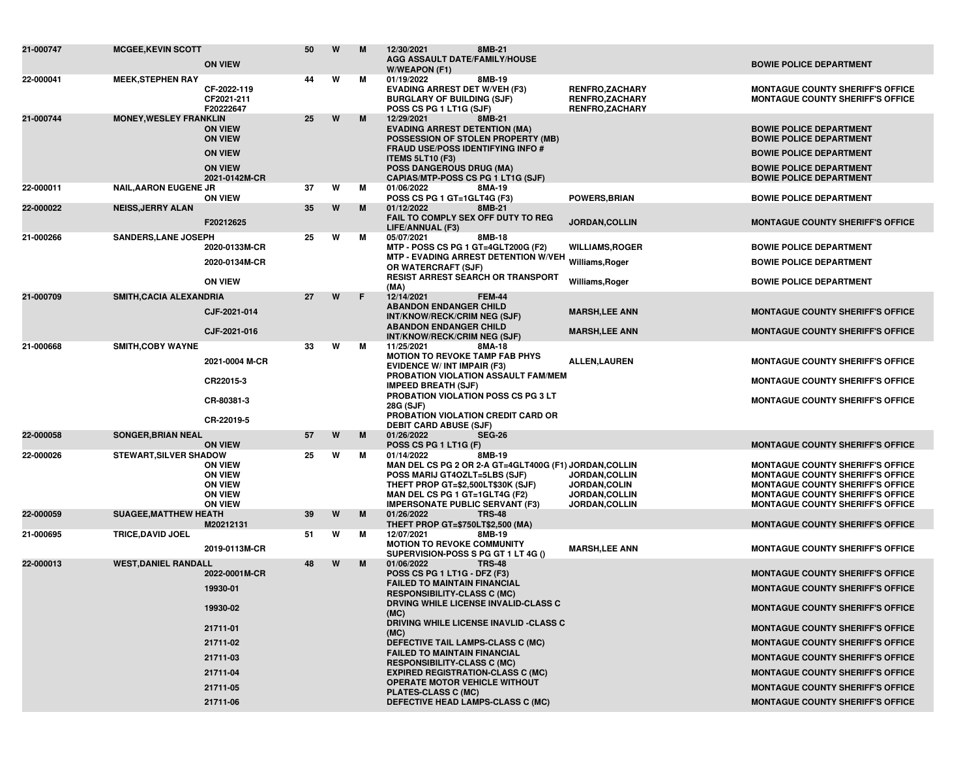| 21-000747 | <b>MCGEE, KEVIN SCOTT</b>     | <b>ON VIEW</b>                                                                         | 50 | W | M  | 12/30/2021<br>8MB-21<br><b>AGG ASSAULT DATE/FAMILY/HOUSE</b><br>W/WEAPON (F1)                                                                                                                                                    |                                                                           | <b>BOWIE POLICE DEPARTMENT</b>                                                                                                                                                                                      |
|-----------|-------------------------------|----------------------------------------------------------------------------------------|----|---|----|----------------------------------------------------------------------------------------------------------------------------------------------------------------------------------------------------------------------------------|---------------------------------------------------------------------------|---------------------------------------------------------------------------------------------------------------------------------------------------------------------------------------------------------------------|
| 22-000041 | <b>MEEK, STEPHEN RAY</b>      | CF-2022-119<br>CF2021-211<br>F20222647                                                 | 44 | W | М  | 01/19/2022<br>8MB-19<br><b>EVADING ARREST DET W/VEH (F3)</b><br><b>BURGLARY OF BUILDING (SJF)</b><br>POSS CS PG 1 LT1G (SJF)                                                                                                     | <b>RENFRO,ZACHARY</b><br><b>RENFRO,ZACHARY</b><br><b>RENFRO,ZACHARY</b>   | <b>MONTAGUE COUNTY SHERIFF'S OFFICE</b><br><b>MONTAGUE COUNTY SHERIFF'S OFFICE</b>                                                                                                                                  |
| 21-000744 | <b>MONEY, WESLEY FRANKLIN</b> | <b>ON VIEW</b><br><b>ON VIEW</b>                                                       | 25 | W | M  | 12/29/2021<br>8MB-21<br><b>EVADING ARREST DETENTION (MA)</b><br>POSSESSION OF STOLEN PROPERTY (MB)<br><b>FRAUD USE/POSS IDENTIFYING INFO #</b>                                                                                   |                                                                           | <b>BOWIE POLICE DEPARTMENT</b><br><b>BOWIE POLICE DEPARTMENT</b>                                                                                                                                                    |
|           |                               | <b>ON VIEW</b><br><b>ON VIEW</b>                                                       |    |   |    | <b>ITEMS 5LT10 (F3)</b><br><b>POSS DANGEROUS DRUG (MA)</b>                                                                                                                                                                       |                                                                           | <b>BOWIE POLICE DEPARTMENT</b><br><b>BOWIE POLICE DEPARTMENT</b>                                                                                                                                                    |
| 22-000011 | <b>NAIL, AARON EUGENE JR</b>  | 2021-0142M-CR                                                                          | 37 | W | M  | CAPIAS/MTP-POSS CS PG 1 LT1G (SJF)<br>01/06/2022<br>8MA-19                                                                                                                                                                       |                                                                           | <b>BOWIE POLICE DEPARTMENT</b>                                                                                                                                                                                      |
| 22-000022 | <b>NEISS, JERRY ALAN</b>      | <b>ON VIEW</b>                                                                         | 35 | W | M  | POSS CS PG 1 GT=1GLT4G (F3)<br>01/12/2022<br>8MB-21                                                                                                                                                                              | <b>POWERS, BRIAN</b>                                                      | <b>BOWIE POLICE DEPARTMENT</b>                                                                                                                                                                                      |
|           |                               | F20212625                                                                              |    |   |    | FAIL TO COMPLY SEX OFF DUTY TO REG<br>LIFE/ANNUAL (F3)                                                                                                                                                                           | JORDAN, COLLIN                                                            | <b>MONTAGUE COUNTY SHERIFF'S OFFICE</b>                                                                                                                                                                             |
| 21-000266 | <b>SANDERS, LANE JOSEPH</b>   | 2020-0133M-CR                                                                          | 25 | W | М  | 05/07/2021<br>8MB-18<br>MTP - POSS CS PG 1 GT=4GLT200G (F2)                                                                                                                                                                      | <b>WILLIAMS, ROGER</b>                                                    | <b>BOWIE POLICE DEPARTMENT</b>                                                                                                                                                                                      |
|           |                               | 2020-0134M-CR                                                                          |    |   |    | MTP - EVADING ARREST DETENTION W/VEH Williams,Roger<br>OR WATERCRAFT (SJF)                                                                                                                                                       |                                                                           | <b>BOWIE POLICE DEPARTMENT</b>                                                                                                                                                                                      |
|           |                               | <b>ON VIEW</b>                                                                         |    |   |    | <b>RESIST ARREST SEARCH OR TRANSPORT</b><br>(MA)                                                                                                                                                                                 | Williams, Roger                                                           | <b>BOWIE POLICE DEPARTMENT</b>                                                                                                                                                                                      |
| 21-000709 | SMITH, CACIA ALEXANDRIA       |                                                                                        | 27 | W | F. | 12/14/2021<br><b>FEM-44</b>                                                                                                                                                                                                      |                                                                           |                                                                                                                                                                                                                     |
|           |                               | CJF-2021-014                                                                           |    |   |    | <b>ABANDON ENDANGER CHILD</b><br>INT/KNOW/RECK/CRIM NEG (SJF)                                                                                                                                                                    | <b>MARSH, LEE ANN</b>                                                     | <b>MONTAGUE COUNTY SHERIFF'S OFFICE</b>                                                                                                                                                                             |
|           |                               | CJF-2021-016                                                                           |    |   |    | <b>ABANDON ENDANGER CHILD</b><br>INT/KNOW/RECK/CRIM NEG (SJF)                                                                                                                                                                    | <b>MARSH,LEE ANN</b>                                                      | <b>MONTAGUE COUNTY SHERIFF'S OFFICE</b>                                                                                                                                                                             |
| 21-000668 | <b>SMITH, COBY WAYNE</b>      | 2021-0004 M-CR                                                                         | 33 | W | М  | 11/25/2021<br>8MA-18<br><b>MOTION TO REVOKE TAMP FAB PHYS</b><br><b>EVIDENCE W/ INT IMPAIR (F3)</b>                                                                                                                              | <b>ALLEN, LAUREN</b>                                                      | <b>MONTAGUE COUNTY SHERIFF'S OFFICE</b>                                                                                                                                                                             |
|           |                               | CR22015-3                                                                              |    |   |    | PROBATION VIOLATION ASSAULT FAM/MEM<br><b>IMPEED BREATH (SJF)</b>                                                                                                                                                                |                                                                           | <b>MONTAGUE COUNTY SHERIFF'S OFFICE</b>                                                                                                                                                                             |
|           |                               | CR-80381-3                                                                             |    |   |    | PROBATION VIOLATION POSS CS PG 3 LT<br>28G (SJF)<br>PROBATION VIOLATION CREDIT CARD OR                                                                                                                                           |                                                                           | <b>MONTAGUE COUNTY SHERIFF'S OFFICE</b>                                                                                                                                                                             |
|           |                               | CR-22019-5                                                                             |    |   |    | <b>DEBIT CARD ABUSE (SJF)</b>                                                                                                                                                                                                    |                                                                           |                                                                                                                                                                                                                     |
| 22-000058 | <b>SONGER, BRIAN NEAL</b>     | <b>ON VIEW</b>                                                                         | 57 | W | M  | 01/26/2022<br><b>SEG-26</b><br>POSS CS PG 1 LT1G (F)                                                                                                                                                                             |                                                                           | <b>MONTAGUE COUNTY SHERIFF'S OFFICE</b>                                                                                                                                                                             |
| 22-000026 | <b>STEWART, SILVER SHADOW</b> | <b>ON VIEW</b><br><b>ON VIEW</b><br><b>ON VIEW</b><br><b>ON VIEW</b><br><b>ON VIEW</b> | 25 | W | M  | 8MB-19<br>01/14/2022<br>MAN DEL CS PG 2 OR 2-A GT=4GLT400G (F1) JORDAN,COLLIN<br>POSS MARIJ GT4OZLT=5LBS (SJF)<br>THEFT PROP GT=\$2,500LT\$30K (SJF)<br>MAN DEL CS PG 1 GT=1GLT4G (F2)<br><b>IMPERSONATE PUBLIC SERVANT (F3)</b> | JORDAN, COLLIN<br><b>JORDAN,COLIN</b><br>JORDAN, COLLIN<br>JORDAN, COLLIN | <b>MONTAGUE COUNTY SHERIFF'S OFFICE</b><br><b>MONTAGUE COUNTY SHERIFF'S OFFICE</b><br><b>MONTAGUE COUNTY SHERIFF'S OFFICE</b><br><b>MONTAGUE COUNTY SHERIFF'S OFFICE</b><br><b>MONTAGUE COUNTY SHERIFF'S OFFICE</b> |
| 22-000059 | <b>SUAGEE, MATTHEW HEATH</b>  | M20212131                                                                              | 39 | W | M  | 01/26/2022<br><b>TRS-48</b><br>THEFT PROP GT=\$750LT\$2,500 (MA)                                                                                                                                                                 |                                                                           | <b>MONTAGUE COUNTY SHERIFF'S OFFICE</b>                                                                                                                                                                             |
| 21-000695 | <b>TRICE, DAVID JOEL</b>      |                                                                                        | 51 | W | м  | 12/07/2021<br>8MB-19                                                                                                                                                                                                             |                                                                           |                                                                                                                                                                                                                     |
|           |                               | 2019-0113M-CR                                                                          |    |   |    | <b>MOTION TO REVOKE COMMUNITY</b><br>SUPERVISION-POSS S PG GT 1 LT 4G ()                                                                                                                                                         | <b>MARSH,LEE ANN</b>                                                      | <b>MONTAGUE COUNTY SHERIFF'S OFFICE</b>                                                                                                                                                                             |
| 22-000013 | <b>WEST, DANIEL RANDALL</b>   | 2022-0001M-CR                                                                          | 48 | W | M  | 01/06/2022<br><b>TRS-48</b><br>POSS CS PG 1 LT1G - DFZ (F3)                                                                                                                                                                      |                                                                           | <b>MONTAGUE COUNTY SHERIFF'S OFFICE</b>                                                                                                                                                                             |
|           |                               | 19930-01                                                                               |    |   |    | <b>FAILED TO MAINTAIN FINANCIAL</b><br><b>RESPONSIBILITY-CLASS C (MC)</b>                                                                                                                                                        |                                                                           | <b>MONTAGUE COUNTY SHERIFF'S OFFICE</b>                                                                                                                                                                             |
|           |                               | 19930-02                                                                               |    |   |    | <b>DRVING WHILE LICENSE INVALID-CLASS C</b><br>(MC)                                                                                                                                                                              |                                                                           | <b>MONTAGUE COUNTY SHERIFF'S OFFICE</b>                                                                                                                                                                             |
|           |                               | 21711-01                                                                               |    |   |    | DRIVING WHILE LICENSE INAVLID -CLASS C<br>(MC)                                                                                                                                                                                   |                                                                           | <b>MONTAGUE COUNTY SHERIFF'S OFFICE</b>                                                                                                                                                                             |
|           |                               | 21711-02                                                                               |    |   |    | DEFECTIVE TAIL LAMPS-CLASS C (MC)                                                                                                                                                                                                |                                                                           | <b>MONTAGUE COUNTY SHERIFF'S OFFICE</b>                                                                                                                                                                             |
|           |                               | 21711-03                                                                               |    |   |    | <b>FAILED TO MAINTAIN FINANCIAL</b><br><b>RESPONSIBILITY-CLASS C (MC)</b>                                                                                                                                                        |                                                                           | <b>MONTAGUE COUNTY SHERIFF'S OFFICE</b>                                                                                                                                                                             |
|           |                               | 21711-04                                                                               |    |   |    | <b>EXPIRED REGISTRATION-CLASS C (MC)</b>                                                                                                                                                                                         |                                                                           | <b>MONTAGUE COUNTY SHERIFF'S OFFICE</b>                                                                                                                                                                             |
|           |                               | 21711-05                                                                               |    |   |    | <b>OPERATE MOTOR VEHICLE WITHOUT</b><br>PLATES-CLASS C (MC)                                                                                                                                                                      |                                                                           | <b>MONTAGUE COUNTY SHERIFF'S OFFICE</b>                                                                                                                                                                             |
|           |                               | 21711-06                                                                               |    |   |    | DEFECTIVE HEAD LAMPS-CLASS C (MC)                                                                                                                                                                                                |                                                                           | <b>MONTAGUE COUNTY SHERIFF'S OFFICE</b>                                                                                                                                                                             |